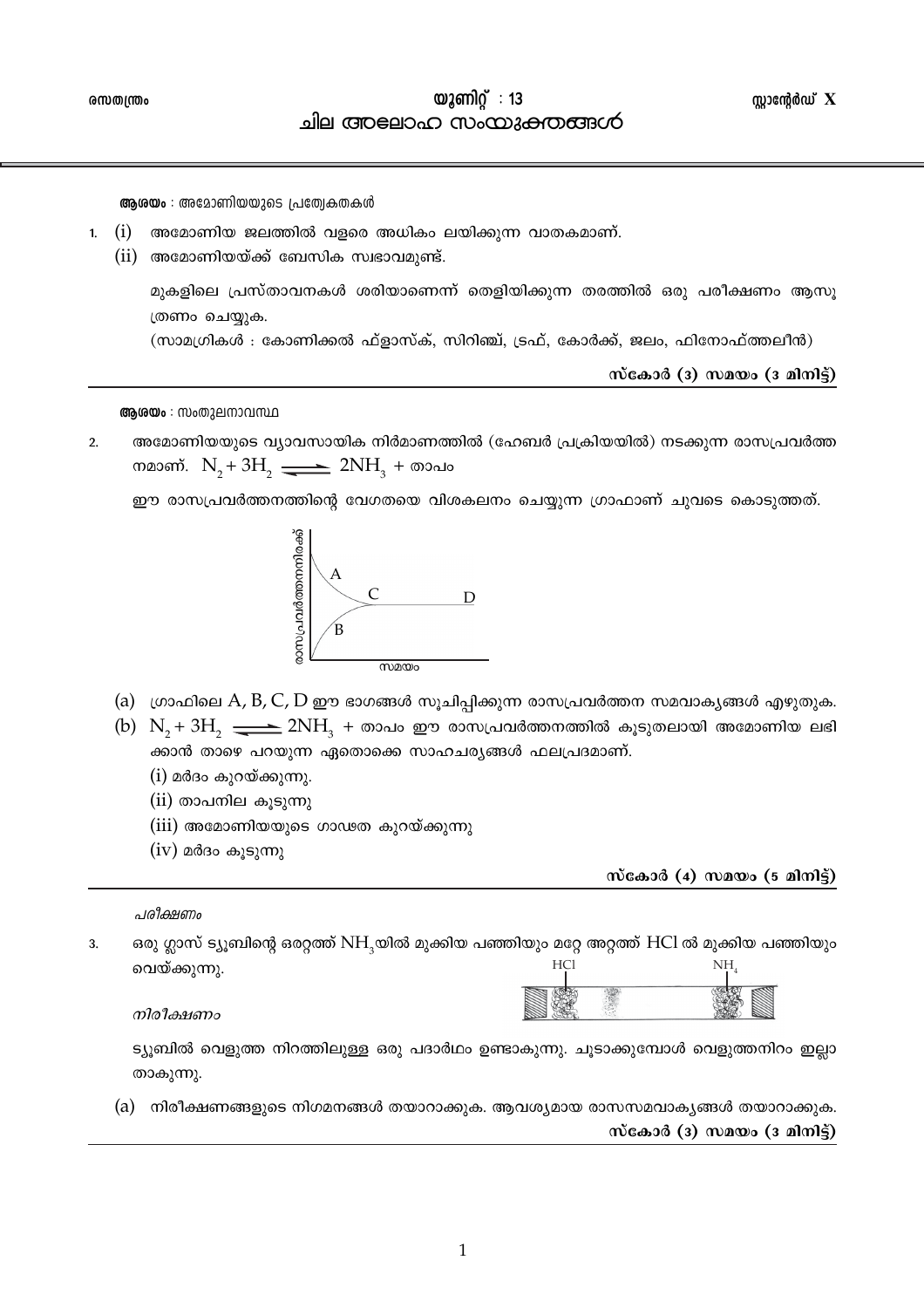ആരയം : അമോണിയയുടെ പ്രത്യേകതകൾ

- 1. (i) അമോണിയ ജലത്തിൽ വളരെ അധികം ലയിക്കുന്ന വാതകമാണ്.
	- $(ii)$  അമോണിയയ്ക്ക് ബേസിക സ്വഭാവമുണ്ട്.

മുകളിലെ പ്രസ്താവനകൾ ശരിയാണെന്ന് തെളിയിക്കുന്ന തരത്തിൽ ഒരു പരീക്ഷണം ആസു ത്രണം ചെയ്യുക.

(സാമഗ്രികൾ : കോണിക്കൽ ഫ്ളാസ്ക്, സിറിഞ്ച്, ട്രഫ്, കോർക്ക്, ജലം, ഫിനോഫ്ത്തലീൻ)

സ്കോർ (3) സമയം (3 മിനിട്ട്)

ആശയം : സംതുലനാവസ്ഥ

അമോണിയയുടെ വ്യാവസായിക നിർമാണത്തിൽ (ഹേബർ പ്രക്രിയയിൽ) നടക്കുന്ന രാസപ്രവർത്ത  $2.$ നമാണ്.  $N_{2} + 3H_{2}$   $\longrightarrow$   $2NH_{3} + \infty$ ാപം

ഈ രാസപ്രവർത്തനത്തിന്റെ വേഗതയെ വിശകലനം ചെയ്യുന്ന ഗ്രാഫാണ് ചുവടെ കൊടുത്തത്.



- (a) ഗ്രാഫിലെ A, B, C, D ഈ ഭാഗങ്ങൾ സൂചിപ്പിക്കുന്ന രാസപ്രവർത്തന സമവാകൃങ്ങൾ എഴുതുക.
- (b)  $N_2 + 3H_1 \longrightarrow 2NH_1 + \infty$ ാപം ഈ രാസപ്രവർത്തനത്തിൽ കൂടുതലായി അമോണിയ ലഭി ക്കാൻ താഴെ പറയുന്ന ഏതൊക്കെ സാഹചര്യങ്ങൾ ഫലപ്രദമാണ്.
	- (i) മർദം കുറയ്ക്കുന്നു.
	- (ii) താപനില കൂടുന്നു
	- $(iii)$  അമോണിയയുടെ ഗാഢത കുറയ്ക്കുന്നു
	- $(iv)$  മർദം കൂടുന്നു

സ്കോർ (4) സമയം (5 മിനിട്ട്)

പരീക്ഷണം

 $\mathbf{R}$ ഒരു ഗ്ലാസ് ട്യൂബിന്റെ ഒരറ്റത്ത് NH<sub>3</sub>യിൽ മുക്കിയ പഞ്ഞിയും മറ്റേ അറ്റത്ത് HCl ൽ മുക്കിയ പഞ്ഞിയും HCl NH. വെയ്ക്കുന്നു.

നിരീക്ഷണം

ട്യൂബിൽ വെളുത്ത നിറത്തിലുള്ള ഒരു പദാർഥം ഉണ്ടാകുന്നു. ചൂടാക്കുമ്പോൾ വെളുത്തനിറം ഇല്ലാ താകുന്നു.

(a) നിരീക്ഷണങ്ങളുടെ നിഗമനങ്ങൾ തയാറാക്കുക. ആവശ്യമായ രാസസമവാകൃങ്ങൾ തയാറാക്കുക.

സ്കോർ (3) സമയം (3 മിനിട്ട്)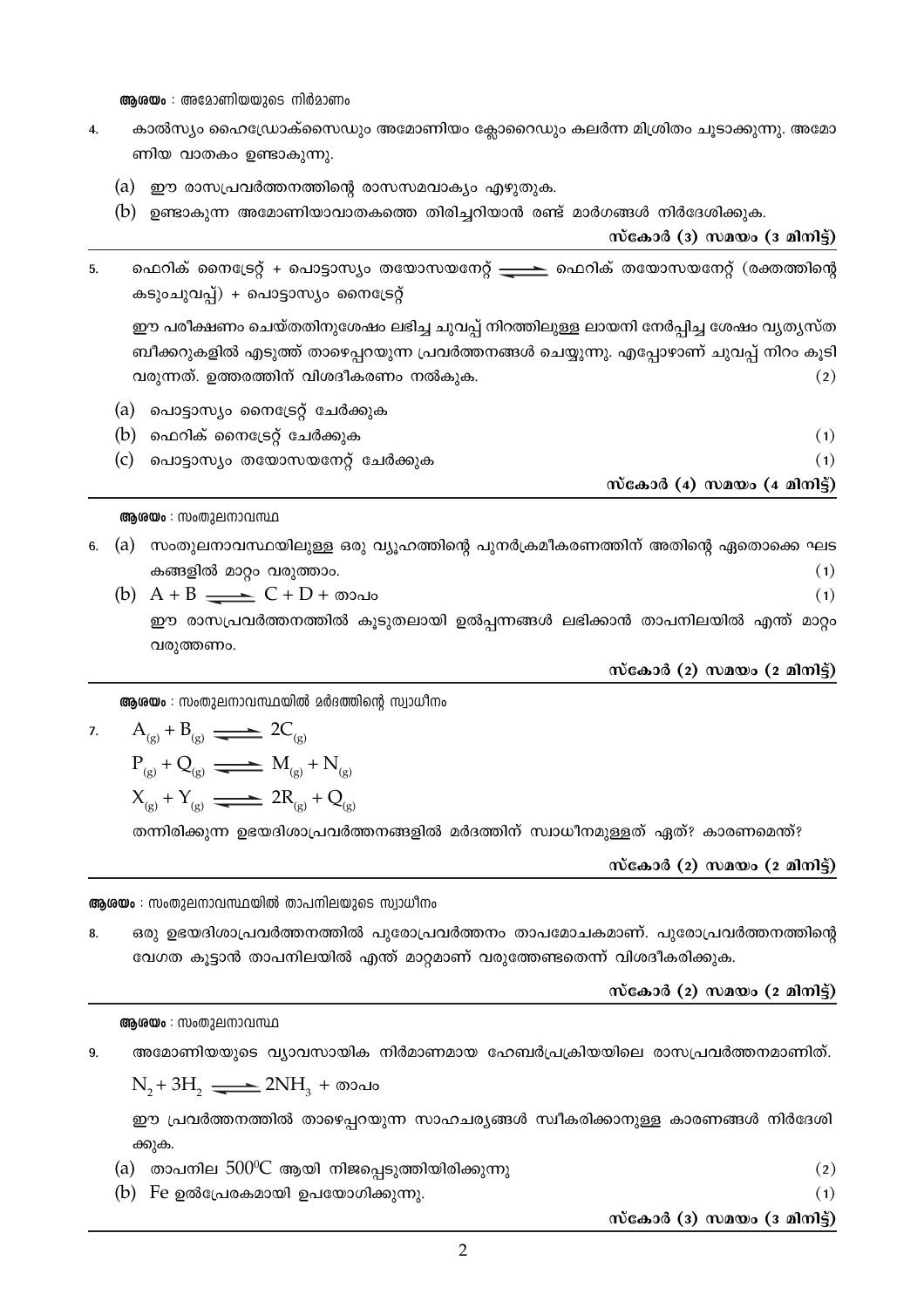**ആരയം** : അമോണിയയുടെ നിർമാണം

- കാൽസ്യം ഹൈഡ്രോക്സൈഡും അമോണിയം ക്ലോറൈഡും കലർന്ന മിശ്രിതം ചൂടാക്കുന്നു. അമോ  $\overline{4}$ . ണിയ വാതകം ഉണ്ടാകുന്നു.
	- (a) ഈ രാസപ്രവർത്തനത്തിന്റെ രാസസമവാക്യം എഴുതുക.
	- (b) ഉണ്ടാകുന്ന അമോണിയാവാതകത്തെ തിരിച്ചറിയാൻ രണ്ട് മാർഗങ്ങൾ നിർദേശിക്കുക.

സ്കോർ (3) സമയം (3 മിനിട്ട്)

ഫെറിക് നൈട്രേറ്റ് + പൊട്ടാസ്യം തയോസയനേറ്റ് <del>\_\_\_\_\_\_</del> ഫെറിക് തയോസയനേറ്റ് (രക്തത്തിന്റെ 5. കടുംചുവപ്പ്) + പൊട്ടാസ്യം നൈട്രേറ്റ്

ഈ പരീക്ഷണം ചെയ്തതിനുശേഷം ലഭിച്ച ചുവപ്പ് നിറത്തിലുള്ള ലായനി നേർപ്പിച്ച ശേഷം വ്യത്യസ്ത ബീക്കറുകളിൽ എടുത്ത് താഴെപ്പറയുന്ന പ്രവർത്തനങ്ങൾ ചെയ്യുന്നു. എപ്പോഴാണ് ചുവപ്പ് നിറം കൂടി വരുന്നത്. ഉത്തരത്തിന് വിശദീകരണം നൽകുക.  $(2)$ 

| (b) ഫെറിക് നൈട്രേറ്റ് ചേർക്കുക<br>(c) പൊട്ടാസ്യം തയോസയനേറ്റ് ചേർക്കുക |                             |
|-----------------------------------------------------------------------|-----------------------------|
|                                                                       | സ്കോർ (4) സമയം (4 മിനിട്ട്) |

ആശയം : സംതുലനാവസ്ഥ

- 6. (a) സംതുലനാവസ്ഥയിലുള്ള ഒരു വ്യൂഹത്തിന്റെ പുനർക്രമീകരണത്തിന് അതിന്റെ ഏതൊക്കെ ഘട കങ്ങളിൽ മാറ്റം വരുത്താം.  $(1)$ 
	- (b)  $A + B \longrightarrow C + D + \omega \omega$  $(1)$ ഈ രാസപ്രവർത്തനത്തിൽ കുടുതലായി ഉൽപ്പന്നങ്ങൾ ലഭിക്കാൻ താപനിലയിൽ എന്ത് മാറ്റം വരുത്തണം.

സ്കോർ (2) സമയം (2 മിനിട്ട്)

**ആരയം** : സംതുലനാവസ്ഥയിൽ മർദത്തിന്റെ സ്വാധീനം

7. 
$$
A_{(g)} + B_{(g)} \longrightarrow 2C_{(g)}
$$
  
\n $P_{(g)} + Q_{(g)} \longrightarrow M_{(g)} + N_{(g)}$   
\n $X_{(g)} + Y_{(g)} \longrightarrow 2R_{(g)} + Q_{(g)}$ 

തന്നിരിക്കുന്ന ഉഭയദിശാപ്രവർത്തനങ്ങളിൽ മർദത്തിന് സ്വാധീനമുള്ളത് ഏത്? കാരണമെന്ത്?

സ്കോർ (2) സമയം (2 മിനിട്ട്)

ആരയം : സംതുലനാവസ്ഥയിൽ താപനിലയുടെ സ്വാധീനം

ഒരു ഉഭയദിശാപ്രവർത്തനത്തിൽ പുരോപ്രവർത്തനം താപമോചകമാണ്. പുരോപ്രവർത്തനത്തിന്റെ  $\mathbf{R}$ വേഗത കൂട്ടാൻ താപനിലയിൽ എന്ത് മാറ്റമാണ് വരുത്തേണ്ടതെന്ന് വിശദീകരിക്കുക.

സ്കോർ (2) സമയം (2 മിനിട്ട്)

## ആശയം : സംതുലനാവസ്ഥ

അമോണിയയുടെ വ്യാവസായിക നിർമാണമായ ഹേബർപ്രക്രിയയിലെ രാസപ്രവർത്തനമാണിത്.  $\mathbf{q}$ 

 $N_2 + 3H_2 \longrightarrow 2NH_3 + \infty$ 

ഈ പ്രവർത്തനത്തിൽ താഴെപ്പറയുന്ന സാഹചര്യങ്ങൾ സ്ഥീകരിക്കാനുള്ള കാരണങ്ങൾ നിർദേശി ക്കുക.

- (a) താപനില  $500^{\circ}$ C ആയി നിജപ്പെടുത്തിയിരിക്കുന്നു  $(2)$
- (b) Fe ഉൽപ്രേരകമായി ഉപയോഗിക്കുന്നു.

സ്കോർ (3) സമയം (3 മിനിട്ട്)

 $(1)$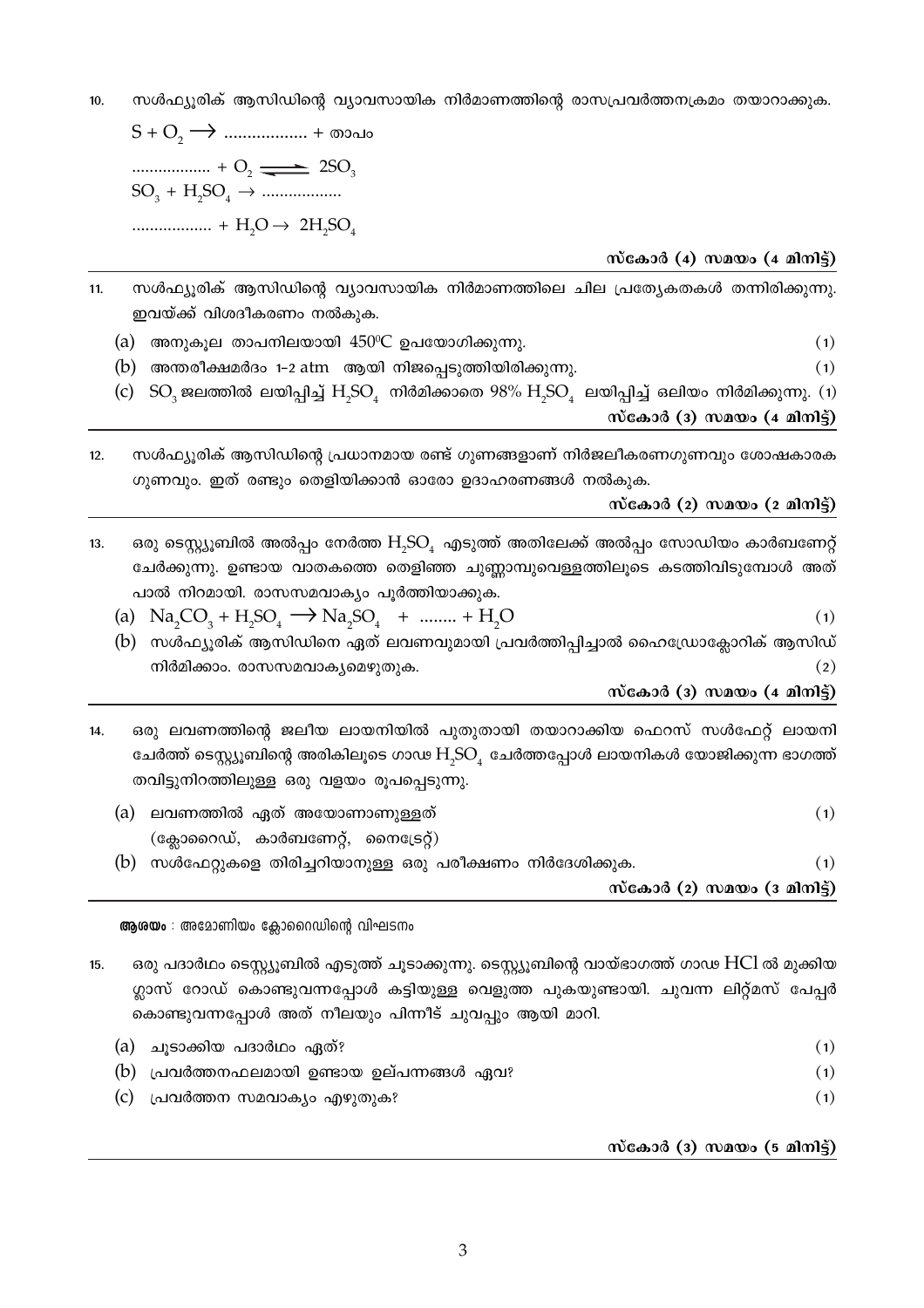സൾഫ്യുരിക് ആസിഡിന്റെ വ്യാവസായിക നിർമാണത്തിന്റെ രാസപ്രവർത്തനക്രമം തയാറാക്കുക.  $10.$ 

 $\ldots \ldots \ldots \ldots \ldots \ldots + O_2 \longrightarrow 2SO_3$  $SO_3 + H_2SO_4 \rightarrow$  .................. 

സ്കോർ (4) സമയം (4 മിനിട്ട്)

 $(1)$ 

- സൾഫ്യൂരിക് ആസിഡിന്റെ വ്യാവസായിക നിർമാണത്തിലെ ചില പ്രത്യേകതകൾ തന്നിരിക്കുന്നു.  $11.$ ഇവയ്ക്ക് വിശദീകരണം നൽകുക.
	- (a) അനുകൂല താപനിലയായി  $450^{\circ}$ C ഉപയോഗിക്കുന്നു.  $(1)$
	- (b) അന്തരീക്ഷമർദം 1-2 atm ആയി നിജപ്പെടുത്തിയിരിക്കുന്നു.
	- (c)  $SO_3$ ജലത്തിൽ ലയിപ്പിച്ച്  $H_3SO_4$  നിർമിക്കാതെ 98%  $H_3SO_4$  ലയിപ്പിച്ച് ഒലിയം നിർമിക്കുന്നു. (1) സ്കോർ (3) സമയം (4 മിനിട്ട്)
- സൾഫ്യുരിക് ആസിഡിന്റെ പ്രധാനമായ രണ്ട് ഗുണങ്ങളാണ് നിർജലീകരണഗുണവും ശോഷകാരക  $12.$ ഗുണവും. ഇത് രണ്ടും തെളിയിക്കാൻ ഓരോ ഉദാഹരണങ്ങൾ നൽകുക.

സ്കോർ (2) സമയം (2 മിനിട്ട്)

- ഒരു ടെസ്റ്റ്യൂബിൽ അൽപ്പം നേർത്ത  $\rm{H}_s$ SO, എടുത്ത് അതിലേക്ക് അൽപ്പം സോഡിയം കാർബണേറ്റ്  $13.$ ചേർക്കുന്നു. ഉണ്ടായ വാതകത്തെ തെളിഞ്ഞ ചുണ്ണാമ്പുവെള്ളത്തിലൂടെ കടത്തിവിടുമ്പോൾ അത് പാൽ നിറമായി. രാസസമവാക്യം പൂർത്തിയാക്കുക.
	- (a)  $\text{Na}_2\text{CO}_3 + \text{H}_2\text{SO}_4 \longrightarrow \text{Na}_2\text{SO}_4 + \dots + \text{H}_2\text{O}$  $(1)$
	- (b) സൾഫ്യൂരിക് ആസിഡിനെ ഏത് ലവണവുമായി പ്രവർത്തിപ്പിച്ചാൽ ഹൈഡ്രോക്ലോറിക് ആസിഡ് നിർമിക്കാം. രാസസമവാകൃമെഴുതുക.  $(2)$

സ്കോർ (3) സമയം  $(4$  മിനിട്ട്)

- ഒരു ലവണത്തിന്റെ ജലീയ ലായനിയിൽ പുതുതായി തയാറാക്കിയ ഫെറസ് സൾഫേറ്റ് ലായനി 14. ചേർത്ത് ടെസ്റ്റ്യൂബിന്റെ അരികിലൂടെ ഗാഢ  $H_{\gamma}SO_{4}$  ചേർത്തപ്പോൾ ലായനികൾ യോജിക്കുന്ന ഭാഗത്ത് തവിട്ടുനിറത്തിലുള്ള ഒരു വളയം രൂപപ്പെടുന്നു.
	- (a) ലവണത്തിൽ ഏത് അയോണാണുള്ളത്  $(1)$  $(\alpha_{\mathcal{R}})$ ടൈറഡ്, കാർബണേറ്റ്, നൈട്രേറ്റ്)  $(1)$

(b) സൾഫേറ്റുകളെ തിരിച്ചറിയാനുള്ള ഒരു പരീക്ഷണം നിർദേശിക്കുക.

സ്കോർ (2) സമയം (3 മിനിട്ട്)

ആരയം : അമോണിയം ക്ലോറൈഡിന്റെ വിഘടനം

ഒരു പദാർഥം ടെസ്റ്റ്യൂബിൽ എടുത്ത് ചൂടാക്കുന്നു. ടെസ്റ്റ്യൂബിന്റെ വായ്ഭാഗത്ത് ഗാഢ HCl ൽ മുക്കിയ 15 ഗ്ലാസ് റോഡ് കൊണ്ടുവന്നപ്പോൾ കട്ടിയുള്ള വെളുത്ത പുകയുണ്ടായി. ചുവന്ന ലിറ്റ്മസ് പേപ്പർ കൊണ്ടുവന്നപ്പോൾ അത് നീലയും പിന്നീട് ചുവപ്പും ആയി മാറി.

| (a) ചൂടാക്കിയ പദാർഥം ഏത്?                  |  |
|--------------------------------------------|--|
| (b) പ്രവർത്തനഫലമായി ഉണ്ടായ ഉല്പന്നങ്ങൾ ഏവ? |  |
| (c) പ്രവർത്തന സമവാക്യം എഴുതുക?             |  |

സ്കോർ (3) സമയം (5 മിനിട്ട്)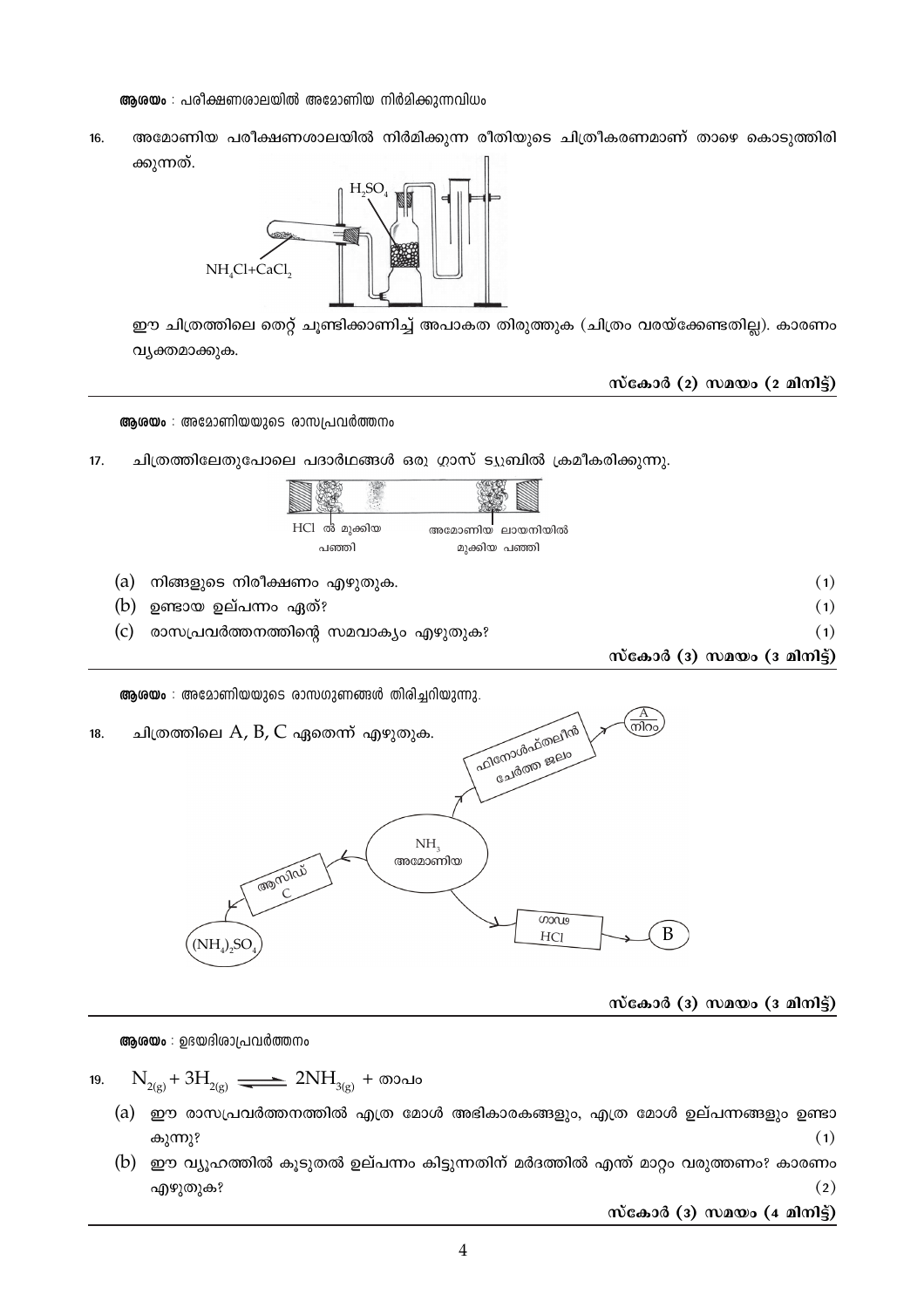**ആരയം** : പരീക്ഷണശാലയിൽ അമോണിയ നിർമിക്കുന്നവിധം

അമോണിയ പരീക്ഷണശാലയിൽ നിർമിക്കുന്ന രീതിയുടെ ചിത്രീകരണമാണ് താഴെ കൊടുത്തിരി 16. ക്കുന്നത്.



ഈ ചിത്രത്തിലെ തെറ്റ് ചൂണ്ടിക്കാണിച്ച് അപാകത തിരുത്തുക (ചിത്രം വരയ്ക്കേണ്ടതില്ല). കാരണം വ്യക്തമാക്കുക.

സ്കോർ (2) സമയം (2 മിനിട്ട്)

ആരയം : അമോണിയയുടെ രാസപ്രവർത്തനം

 $17.$ ചിത്രത്തിലേതുപോലെ പദാർഥങ്ങൾ ഒരു ഗ്ലാസ് ട്യുബിൽ ക്രമീകരിക്കുന്നു.



ആശയം : അമോണിയയുടെ രാസഗുണങ്ങൾ തിരിച്ചറിയുന്നു.



സ്കോർ (3) സമയം (3 മിനിട്ട്)

ആശയം : ഉഭയദിശാപ്രവർത്തനം

- $N_{\gamma(\sigma)} + 3H_{\gamma(\sigma)} \longrightarrow 2NH_{\gamma(\sigma)} + \infty$ 19.
	- (a) ഈ രാസപ്രവർത്തനത്തിൽ എത്ര മോൾ അഭികാരകങ്ങളും, എത്ര മോൾ ഉല്പന്നങ്ങളും ഉണ്ടാ കുന്നു?  $(1)$
	- (b) ഈ വ്യൂഹത്തിൽ കൂടുതൽ ഉല്പന്നം കിട്ടുന്നതിന് മർദത്തിൽ എന്ത് മാറ്റം വരുത്തണം? കാരണം എഴുതുക?  $(2)$

സ്കോർ (3) സമയം  $(4 \text{ and } 5)$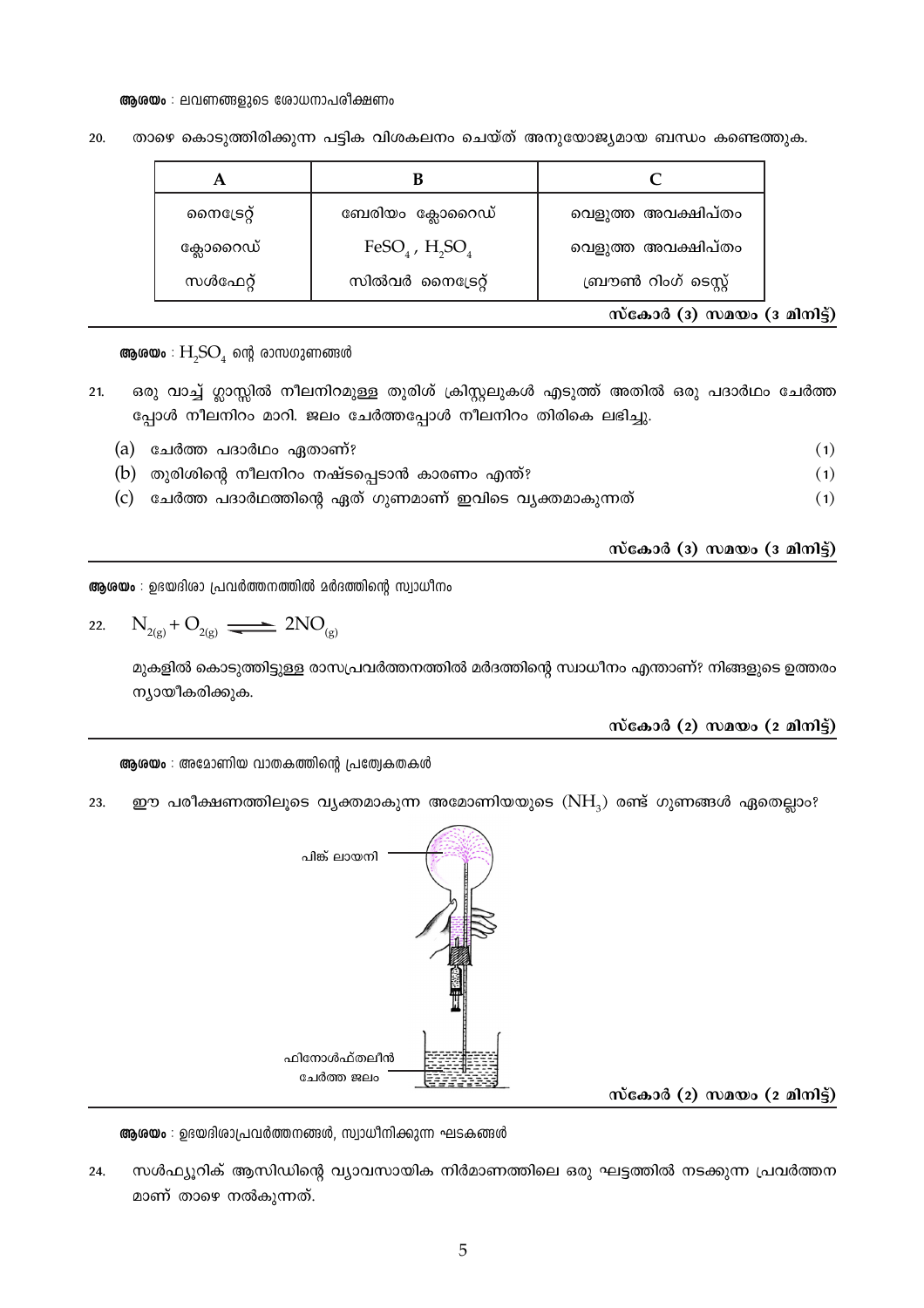## ആരയം : ലവണങ്ങളുടെ രോധനാപരീക്ഷണം

| സൈട്രേറ്റ് | ബേരിയം ക്ലോറൈഡ്               | വെളുത്ത അവക്ഷിപ്തം   |
|------------|-------------------------------|----------------------|
| ക്ലോറൈഡ്   | FeSO <sub>4</sub> , $H_2SO_4$ | വെളുത്ത അവക്ഷിപ്തം   |
| സൾഫേറ്റ്   | സിൽവർ നൈട്രേറ്റ്              | ബ്രൗൺ റിംഗ് ടെസ്റ്റ് |

താഴെ കൊടുത്തിരിക്കുന്ന പട്ടിക വിശകലനം ചെയ്ത് അനുയോജ്യമായ ബന്ധം കണ്ടെത്തുക. 20.

സ്കോർ (3) സമയം (3 മിനിട്ട്)

**ആരയം** :  $H_2SO_4$  ന്റെ രാസഗുണങ്ങൾ

ഒരു വാച്ച് ഗ്ലാസ്സിൽ നീലനിറമുള്ള തുരിശ് ക്രിസ്റ്റലുകൾ എടുത്ത് അതിൽ ഒരു പദാർഥം ചേർത്ത  $21.$ പ്പോൾ നീലനിറം മാറി. ജലം ചേർത്തപ്പോൾ നീലനിറം തിരികെ ലഭിച്ചു.

| (a) ചേർത്ത പദാർഥം ഏതാണ്?                                    |     |
|-------------------------------------------------------------|-----|
| (b) തുരിശിന്റെ നീലനിറം നഷ്ടപ്പെടാൻ കാരണം എന്ത്?             | (1) |
| (c)  ചേർത്ത പദാർഥത്തിന്റെ ഏത് ഗുണമാണ് ഇവിടെ വ്യക്തമാകുന്നത് | (1) |

സ്കോർ (3) സമയം (3 മിനിട്ട്)

ആശയം : ഉഭയദിശാ പ്രവർത്തനത്തിൽ മർദത്തിന്റെ സ്വാധീനം

22. 
$$
N_{2(g)} + O_{2(g)} \longrightarrow 2NO_{(g)}
$$

മുകളിൽ കൊടുത്തിട്ടുള്ള രാസപ്രവർത്തനത്തിൽ മർദത്തിന്റെ സ്വാധീനം എന്താണ്? നിങ്ങളുടെ ഉത്തരം ന്യായീകരിക്കുക.

സ്കോർ  $(2)$  സമയം  $(2 \text{ and } 3)$ 

ആരയം : അമോണിയ വാതകത്തിന്റെ പ്രത്വേകതകൾ

ഈ പരീക്ഷണത്തിലൂടെ വ്യക്തമാകുന്ന അമോണിയയുടെ  $(NH_3)$  രണ്ട് ഗുണങ്ങൾ ഏതെല്ലാം? 23.





ആശയം : ഉഭയദിശാപ്രവർത്തനങ്ങൾ, സ്വാധീനിക്കുന്ന ഘടകങ്ങൾ

സൾഫ്യൂറിക് ആസിഡിന്റെ വ്യാവസായിക നിർമാണത്തിലെ ഒരു ഘട്ടത്തിൽ നടക്കുന്ന പ്രവർത്തന 24. മാണ് താഴെ നൽകുന്നത്.